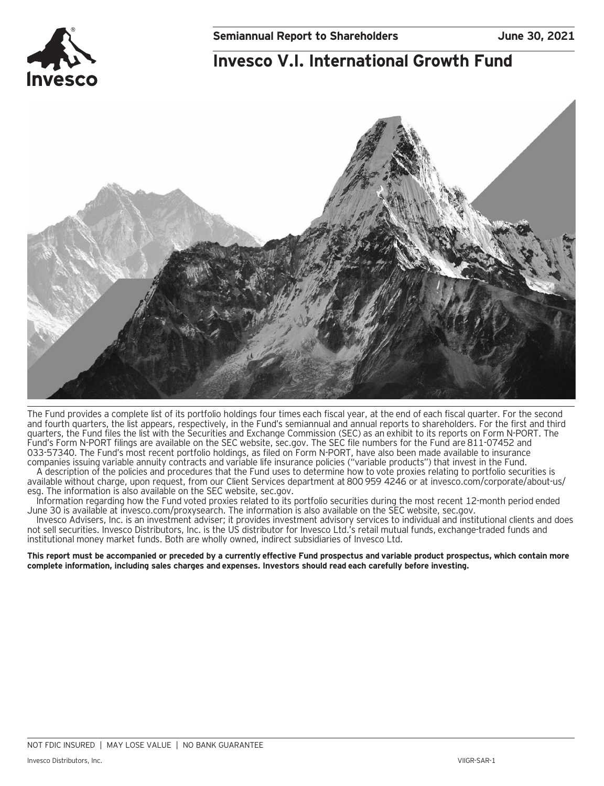## **Invesco V.I. International Growth Fund**



The Fund provides a complete list of its portfolio holdings four times each fiscal year, at the end of each fiscal quarter. For the second and fourth quarters, the list appears, respectively, in the Fund's semiannual and annual reports to shareholders. For the first and third quarters, the Fund files the list with the Securities and Exchange Commission (SEC) as an exhibit to its reports on Form N-PORT. The Fund's Form N-PORT filings are available on the SEC website, sec.gov. The SEC file numbers for the Fund are 811-07452 and 033-57340. The Fund's most recent portfolio holdings, as filed on Form N-PORT, have also been made available to insurance companies issuing variable annuity contracts and variable life insurance policies ("variable products") that invest in the Fund.

A description of the policies and procedures that the Fund uses to determine how to vote proxies relating to portfolio securities is available without charge, upon request, from our Client Services department at 800 959 4246 or at invesco.com/corporate/about-us/ esg. The information is also available on the SEC website, sec.gov.

Information regarding how the Fund voted proxies related to its portfolio securities during the most recent 12-month period ended June 30 is available at invesco.com/proxysearch. The information is also available on the SEC website, sec.gov.

Invesco Advisers, Inc. is an investment adviser; it provides investment advisory services to individual and institutional clients and does not sell securities. Invesco Distributors, Inc. is the US distributor for Invesco Ltd.'s retail mutual funds, exchange-traded funds and institutional money market funds. Both are wholly owned, indirect subsidiaries of Invesco Ltd.

**This report must be accompanied or preceded by a currently effective Fund prospectus and variable product prospectus, which contain more complete information, including sales charges and expenses. Investors should read each carefully before investing.**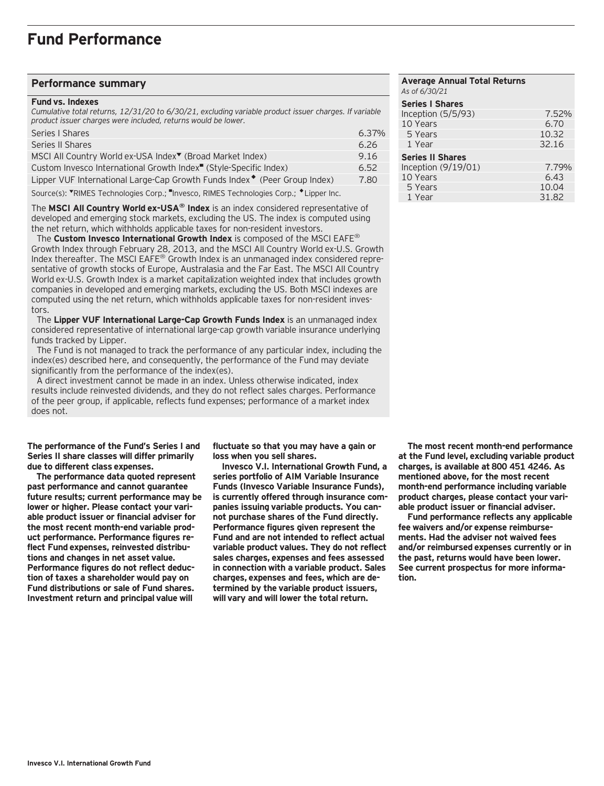## **Performance summary**

#### **Fund vs. Indexes**

*Cumulative total returns, 12/31/20 to 6/30/21, excluding variable product issuer charges. If variable product issuer charges were included, returns would be lower.*

| Series   Shares                                                                       | 6.37% |
|---------------------------------------------------------------------------------------|-------|
| Series II Shares                                                                      | 6.26  |
| MSCI All Country World ex-USA Index <sup>▼</sup> (Broad Market Index)                 | 9.16  |
| Custom Invesco International Growth Index <sup>"</sup> (Style-Specific Index)         | 6.52  |
| Lipper VUF International Large-Cap Growth Funds Index <sup>*</sup> (Peer Group Index) | 7.80  |
|                                                                                       |       |

Source(s): "RIMES Technologies Corp.; "Invesco, RIMES Technologies Corp.; \* Lipper Inc.

The **MSCI All Country World ex-USA® Index** is an index considered representative of developed and emerging stock markets, excluding the US. The index is computed using the net return, which withholds applicable taxes for non-resident investors.

 The **Custom Invesco International Growth Index** is composed of the MSCI EAFE® Growth Index through February 28, 2013, and the MSCI All Country World ex-U.S. Growth Index thereafter. The MSCI EAFE® Growth Index is an unmanaged index considered representative of growth stocks of Europe, Australasia and the Far East. The MSCI All Country World ex-U.S. Growth Index is a market capitalization weighted index that includes growth companies in developed and emerging markets, excluding the US. Both MSCI indexes are computed using the net return, which withholds applicable taxes for non-resident investors.

 The **Lipper VUF International Large-Cap Growth Funds Index** is an unmanaged index considered representative of international large-cap growth variable insurance underlying funds tracked by Lipper.

 The Fund is not managed to track the performance of any particular index, including the index(es) described here, and consequently, the performance of the Fund may deviate significantly from the performance of the index(es).

 A direct investment cannot be made in an index. Unless otherwise indicated, index results include reinvested dividends, and they do not reflect sales charges. Performance of the peer group, if applicable, reflects fund expenses; performance of a market index does not.

**The performance of the Fund's Series I and Series II share classes will differ primarily due to different class expenses.**

**The performance data quoted represent past performance and cannot guarantee future results; current performance may be lower or higher. Please contact your variable product issuer or financial adviser for the most recent month-end variable product performance. Performance figures reflect Fund expenses, reinvested distributions and changes in net asset value. Performance figures do not reflect deduction of taxes a shareholder would pay on Fund distributions or sale of Fund shares. Investment return and principal value will**

**fluctuate so that you may have a gain or loss when you sell shares.**

**Invesco V.I. International Growth Fund, a series portfolio of AIM Variable Insurance Funds (Invesco Variable Insurance Funds), is currently offered through insurance companies issuing variable products. You cannot purchase shares of the Fund directly. Performance figures given represent the Fund and are not intended to reflect actual variable product values. They do not reflect sales charges, expenses and fees assessed in connection with a variable product. Sales charges, expenses and fees, which are determined by the variable product issuers, will vary and will lower the total return.**

## **Average Annual Total Returns** *As of 6/30/21* **Series I Shares**  Inception (5/5/93) 7.52%<br>10 Years 6.70 10 Years 5 Years 10.32 1 Year 32.16 **Series II Shares**  Inception (9/19/01) 7.79% 10 Years 6.43<br>5 Years 6.43 5 Years 10.04<br>1 Year 10.04<br>1 Year 1982 1 Year

**The most recent month-end performance at the Fund level, excluding variable product charges, is available at 800 451 4246. As mentioned above, for the most recent month-end performance including variable product charges, please contact your variable product issuer or financial adviser.**

**Fund performance reflects any applicable fee waivers and/or expense reimbursements. Had the adviser not waived fees and/or reimbursed expenses currently or in the past, returns would have been lower. See current prospectus for more information.**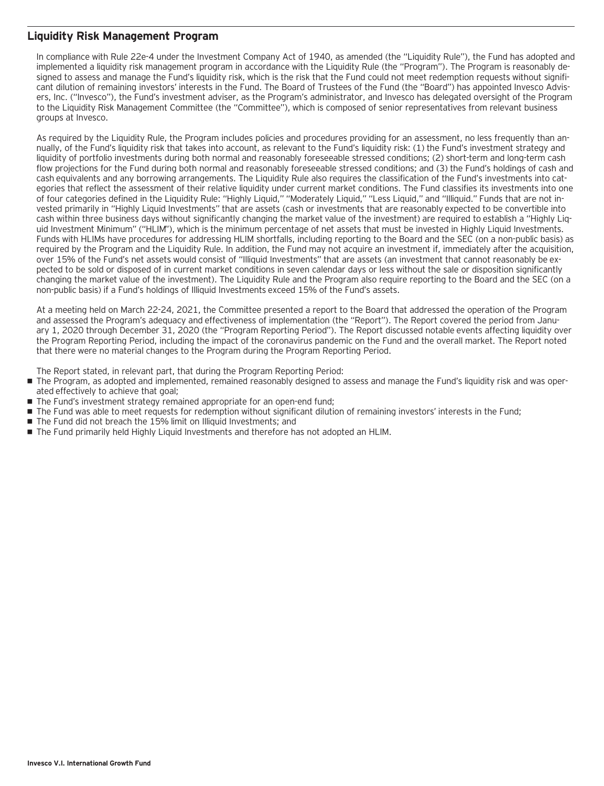## **Liquidity Risk Management Program**

In compliance with Rule 22e-4 under the Investment Company Act of 1940, as amended (the "Liquidity Rule"), the Fund has adopted and implemented a liquidity risk management program in accordance with the Liquidity Rule (the "Program"). The Program is reasonably designed to assess and manage the Fund's liquidity risk, which is the risk that the Fund could not meet redemption requests without significant dilution of remaining investors' interests in the Fund. The Board of Trustees of the Fund (the "Board") has appointed Invesco Advisers, Inc. ("Invesco"), the Fund's investment adviser, as the Program's administrator, and Invesco has delegated oversight of the Program to the Liquidity Risk Management Committee (the "Committee"), which is composed of senior representatives from relevant business groups at Invesco.

As required by the Liquidity Rule, the Program includes policies and procedures providing for an assessment, no less frequently than annually, of the Fund's liquidity risk that takes into account, as relevant to the Fund's liquidity risk: (1) the Fund's investment strategy and liquidity of portfolio investments during both normal and reasonably foreseeable stressed conditions; (2) short-term and long-term cash flow projections for the Fund during both normal and reasonably foreseeable stressed conditions; and (3) the Fund's holdings of cash and cash equivalents and any borrowing arrangements. The Liquidity Rule also requires the classification of the Fund's investments into categories that reflect the assessment of their relative liquidity under current market conditions. The Fund classifies its investments into one of four categories defined in the Liquidity Rule: "Highly Liquid," "Moderately Liquid," "Less Liquid," and "Illiquid." Funds that are not invested primarily in "Highly Liquid Investments" that are assets (cash or investments that are reasonably expected to be convertible into cash within three business days without significantly changing the market value of the investment) are required to establish a "Highly Liquid Investment Minimum" ("HLIM"), which is the minimum percentage of net assets that must be invested in Highly Liquid Investments. Funds with HLIMs have procedures for addressing HLIM shortfalls, including reporting to the Board and the SEC (on a non-public basis) as required by the Program and the Liquidity Rule. In addition, the Fund may not acquire an investment if, immediately after the acquisition, over 15% of the Fund's net assets would consist of "Illiquid Investments" that are assets (an investment that cannot reasonably be expected to be sold or disposed of in current market conditions in seven calendar days or less without the sale or disposition significantly changing the market value of the investment). The Liquidity Rule and the Program also require reporting to the Board and the SEC (on a non-public basis) if a Fund's holdings of Illiquid Investments exceed 15% of the Fund's assets.

At a meeting held on March 22-24, 2021, the Committee presented a report to the Board that addressed the operation of the Program and assessed the Program's adequacy and effectiveness of implementation (the "Report"). The Report covered the period from January 1, 2020 through December 31, 2020 (the "Program Reporting Period"). The Report discussed notable events affecting liquidity over the Program Reporting Period, including the impact of the coronavirus pandemic on the Fund and the overall market. The Report noted that there were no material changes to the Program during the Program Reporting Period.

The Report stated, in relevant part, that during the Program Reporting Period:

- The Program, as adopted and implemented, remained reasonably designed to assess and manage the Fund's liquidity risk and was operated effectively to achieve that goal;
- The Fund's investment strategy remained appropriate for an open-end fund;
- The Fund was able to meet requests for redemption without significant dilution of remaining investors' interests in the Fund;
- The Fund did not breach the 15% limit on Illiquid Investments; and
- The Fund primarily held Highly Liquid Investments and therefore has not adopted an HLIM.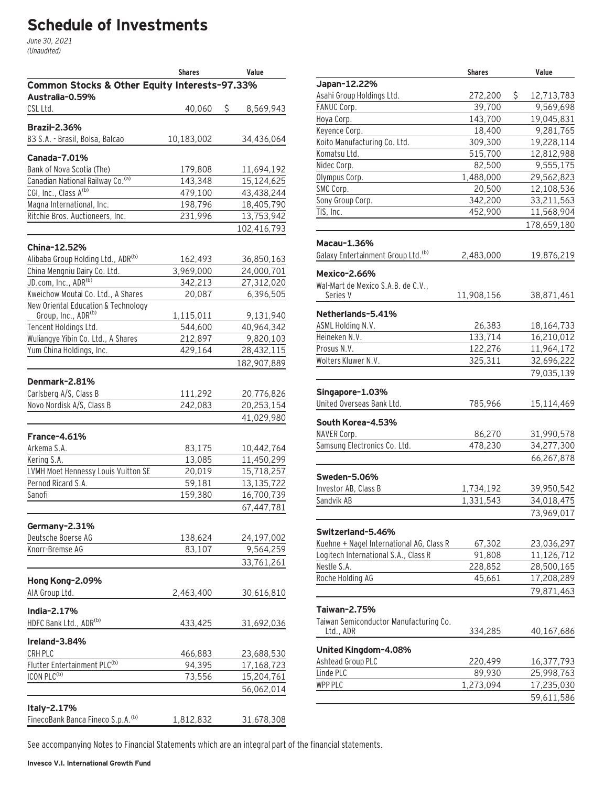# **Schedule of Investments**

June 30, 2021 (Unaudited)

|                                                                  | <b>Shares</b> | Value           |
|------------------------------------------------------------------|---------------|-----------------|
| Common Stocks & Other Equity Interests-97.33%<br>Australia-0.59% |               |                 |
| CSL Ltd.                                                         | 40,060        | \$<br>8,569,943 |
| <b>Brazil-2.36%</b>                                              |               |                 |
| B3 S.A. - Brasil, Bolsa, Balcao                                  | 10,183,002    | 34,436,064      |
|                                                                  |               |                 |
| <b>Canada-7.01%</b>                                              |               |                 |
| Bank of Nova Scotia (The)                                        | 179,808       | 11,694,192      |
| Canadian National Railway Co. (a)                                | 143,348       | 15,124,625      |
| CGI, Inc., Class A(b)                                            | 479,100       | 43,438,244      |
| Magna International, Inc.                                        | 198,796       | 18,405,790      |
| Ritchie Bros. Auctioneers, Inc.                                  | 231,996       | 13,753,942      |
|                                                                  |               | 102,416,793     |
| China-12.52%                                                     |               |                 |
| Alibaba Group Holding Ltd., ADR(b)                               | 162,493       | 36,850,163      |
| China Mengniu Dairy Co. Ltd.                                     | 3,969,000     | 24,000,701      |
| JD.com, Inc., ADR(b)                                             | 342,213       | 27,312,020      |
| Kweichow Moutai Co. Ltd., A Shares                               | 20,087        | 6,396,505       |
| New Oriental Education & Technology                              |               |                 |
| Group, Inc., ADR(b)                                              | 1,115,011     | 9,131,940       |
| Tencent Holdings Ltd.                                            | 544,600       | 40,964,342      |
| Wuliangye Yibin Co. Ltd., A Shares                               | 212,897       | 9,820,103       |
| Yum China Holdings, Inc.                                         | 429,164       | 28,432,115      |
|                                                                  |               | 182,907,889     |
| Denmark-2.81%                                                    |               |                 |
| Carlsberg A/S, Class B                                           | 111,292       | 20,776,826      |
| Novo Nordisk A/S, Class B                                        | 242,083       | 20,253,154      |
|                                                                  |               | 41,029,980      |
| France-4.61%                                                     |               |                 |
| Arkema S.A.                                                      | 83,175        | 10,442,764      |
| Kering S.A.                                                      | 13,085        | 11,450,299      |
| LVMH Moet Hennessy Louis Vuitton SE                              | 20,019        | 15,718,257      |
| Pernod Ricard S.A.                                               | 59,181        | 13,135,722      |
| Sanofi                                                           | 159,380       | 16,700,739      |
|                                                                  |               | 67,447,781      |
|                                                                  |               |                 |
| Germany-2.31%                                                    |               |                 |
| Deutsche Boerse AG                                               | 138,624       | 24,197,002      |
| Knorr-Bremse AG                                                  | 83,107        | 9,564,259       |
|                                                                  |               | 33,761,261      |
| Hong Kong-2.09%                                                  |               |                 |
| AIA Group Ltd.                                                   | 2,463,400     | 30,616,810      |
| India-2.17%                                                      |               |                 |
| HDFC Bank Ltd., ADR(b)                                           | 433,425       | 31,692,036      |
|                                                                  |               |                 |
| Ireland-3.84%                                                    |               |                 |
| CRH PLC                                                          | 466,883       | 23,688,530      |
| Flutter Entertainment PLC <sup>(b)</sup>                         | 94,395        | 17,168,723      |
| ICON PLC <sup>(b)</sup>                                          | 73,556        | 15,204,761      |
|                                                                  |               | 56,062,014      |
| Italy-2.17%                                                      |               |                 |
| FinecoBank Banca Fineco S.p.A. <sup>(b)</sup>                    | 1,812,832     | 31,678,308      |

|                                                | <b>Shares</b> |     | Value       |
|------------------------------------------------|---------------|-----|-------------|
| Japan-12.22%                                   |               |     |             |
| Asahi Group Holdings Ltd.                      | 272,200       | \$. | 12,713,783  |
| FANUC Corp.                                    | 39,700        |     | 9,569,698   |
| Hoya Corp.                                     | 143,700       |     | 19,045,831  |
| Keyence Corp.                                  | 18,400        |     | 9,281,765   |
| Koito Manufacturing Co. Ltd.                   | 309,300       |     | 19,228,114  |
| Komatsu Ltd.                                   | 515,700       |     | 12,812,988  |
| Nidec Corp.                                    | 82,500        |     | 9,555,175   |
| Olympus Corp.                                  | 1,488,000     |     | 29,562,823  |
| SMC Corp.                                      | 20,500        |     | 12,108,536  |
| Sony Group Corp.                               | 342,200       |     | 33,211,563  |
| TIS, Inc.                                      | 452,900       |     | 11,568,904  |
|                                                |               |     | 178,659,180 |
| Macau-1.36%                                    |               |     |             |
| Galaxy Entertainment Group Ltd. <sup>(b)</sup> | 2,483,000     |     | 19,876,219  |
| Mexico-2.66%                                   |               |     |             |
| Wal-Mart de Mexico S.A.B. de C.V.,             |               |     |             |
| Series V                                       | 11,908,156    |     | 38,871,461  |
| Netherlands-5.41%                              |               |     |             |
| ASML Holding N.V.                              | 26,383        |     | 18,164,733  |
| Heineken N.V.                                  | 133,714       |     | 16,210,012  |
| Prosus N.V.                                    | 122,276       |     | 11,964,172  |
| Wolters Kluwer N.V.                            | 325,311       |     | 32,696,222  |
|                                                |               |     | 79,035,139  |
| Singapore-1.03%                                |               |     |             |
| United Overseas Bank Ltd.                      | 785,966       |     | 15,114,469  |
| South Korea-4.53%                              |               |     |             |
| NAVER Corp.                                    | 86,270        |     | 31,990,578  |
| Samsung Electronics Co. Ltd.                   | 478,230       |     | 34,277,300  |
|                                                |               |     | 66,267,878  |
| <b>Sweden-5.06%</b>                            |               |     |             |
| Investor AB, Class B                           | 1,734,192     |     | 39,950,542  |
| Sandvik AB                                     | 1,331,543     |     | 34,018,475  |
|                                                |               |     | 73,969,017  |
|                                                |               |     |             |
| Switzerland-5.46%                              |               |     |             |
| Kuehne + Nagel International AG, Class R       | 67,302        |     | 23,036,297  |
| Logitech International S.A., Class R           | 91,808        |     | 11,126,712  |
| Nestle S.A.                                    | 228,852       |     | 28,500,165  |
| Roche Holding AG                               | 45,661        |     | 17,208,289  |
|                                                |               |     | 79,871,463  |
| Taiwan-2.75%                                   |               |     |             |
| Taiwan Semiconductor Manufacturing Co.         |               |     |             |
| Ltd., ADR                                      | 334,285       |     | 40,167,686  |
| United Kingdom-4.08%                           |               |     |             |
| Ashtead Group PLC                              | 220,499       |     | 16,377,793  |
| Linde PLC                                      | 89,930        |     | 25,998,763  |
| WPP PLC                                        | 1,273,094     |     | 17,235,030  |
|                                                |               |     | 59,611,586  |
|                                                |               |     |             |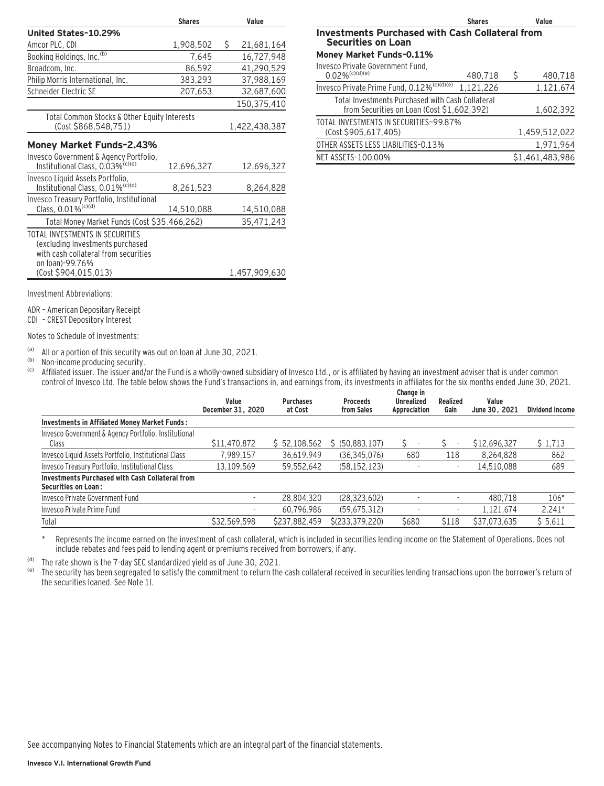|                                                                                                                                | <b>Shares</b> | Value |               |  |  |
|--------------------------------------------------------------------------------------------------------------------------------|---------------|-------|---------------|--|--|
| United States-10.29%                                                                                                           |               |       |               |  |  |
| Amcor PLC, CDI                                                                                                                 | 1,908,502     | S.    | 21,681,164    |  |  |
| Booking Holdings, Inc. <sup>(b)</sup>                                                                                          | 7,645         |       | 16,727,948    |  |  |
| Broadcom, Inc.                                                                                                                 | 86,592        |       | 41,290,529    |  |  |
| Philip Morris International, Inc.                                                                                              | 383,293       |       | 37,988,169    |  |  |
| Schneider Electric SE                                                                                                          | 207,653       |       | 32,687,600    |  |  |
|                                                                                                                                |               |       | 150,375,410   |  |  |
| Total Common Stocks & Other Equity Interests                                                                                   |               |       |               |  |  |
| (Cost \$868,548,751)                                                                                                           |               |       | 1,422,438,387 |  |  |
| Money Market Funds-2.43%                                                                                                       |               |       |               |  |  |
| Invesco Government & Agency Portfolio,                                                                                         |               |       |               |  |  |
| Institutional Class, 0.03% <sup>(c)(d)</sup>                                                                                   | 12,696,327    |       | 12,696,327    |  |  |
| Invesco Liquid Assets Portfolio,<br>Institutional Class, 0.01% <sup>(c)(d)</sup>                                               | 8,261,523     |       | 8,264,828     |  |  |
| Invesco Treasury Portfolio, Institutional                                                                                      |               |       |               |  |  |
| Class, 0.01% <sup>(c)(d)</sup>                                                                                                 | 14,510,088    |       | 14,510,088    |  |  |
| Total Money Market Funds (Cost \$35,466,262)                                                                                   |               |       | 35,471,243    |  |  |
| TOTAL INVESTMENTS IN SECURITIES<br>(excluding Investments purchased<br>with cash collateral from securities<br>on loan)-99.76% |               |       |               |  |  |
| (Cost \$904,015,013)                                                                                                           |               |       | 1,457,909,630 |  |  |
|                                                                                                                                |               |       |               |  |  |

|                                                                                                | <b>Shares</b> |   |               |  |  |
|------------------------------------------------------------------------------------------------|---------------|---|---------------|--|--|
| <b>Investments Purchased with Cash Collateral from</b><br><b>Securities on Loan</b>            |               |   |               |  |  |
| Money Market Funds-0.11%                                                                       |               |   |               |  |  |
| Invesco Private Government Fund,<br>$0.02\%$ <sup>(c)(d)(e)</sup>                              | 480,718       | S | 480,718       |  |  |
| Invesco Private Prime Fund, 0.12% <sup>(c)(d)(e)</sup>                                         | 1,121,226     |   | 1,121,674     |  |  |
| Total Investments Purchased with Cash Collateral<br>from Securities on Loan (Cost \$1,602,392) |               |   | 1,602,392     |  |  |
| TOTAL INVESTMENTS IN SECURITIES-99.87%<br>(Cost \$905,617,405)                                 |               |   | 1,459,512,022 |  |  |
| OTHER ASSETS LESS LIABILITIES-0.13%                                                            |               |   | 1,971,964     |  |  |

NET ASSETS-100.00% \$1,461,483,986

Investment Abbreviations:

ADR – American Depositary Receipt

CDI – CREST Depository Interest

Notes to Schedule of Investments:

(a) All or a portion of this security was out on loan at June 30, 2021.

(b) Non-income producing security.<br>(c) Affiliated issuer The issuer and/

Affiliated issuer. The issuer and/or the Fund is a wholly-owned subsidiary of Invesco Ltd., or is affiliated by having an investment adviser that is under common control of Invesco Ltd. The table below shows the Fund's transactions in, and earnings from, its investments in affiliates for the six months ended June 30, 2021.

|                                                                               | Value<br>December 31, 2020 | <b>Purchases</b><br>at Cost | <b>Proceeds</b><br>from Sales | Change in<br><b>Unrealized</b><br>Appreciation | Realized<br>Gain | Value<br>June 30, 2021 | <b>Dividend Income</b> |
|-------------------------------------------------------------------------------|----------------------------|-----------------------------|-------------------------------|------------------------------------------------|------------------|------------------------|------------------------|
| <b>Investments in Affiliated Money Market Funds:</b>                          |                            |                             |                               |                                                |                  |                        |                        |
| Invesco Government & Agency Portfolio, Institutional<br>Class                 | \$11,470,872               | \$52,108,562                | \$ (50,883,107)               |                                                | ٠                | \$12,696,327           | \$1,713                |
| Invesco Liquid Assets Portfolio, Institutional Class                          | 7,989,157                  | 36,619,949                  | (36, 345, 076)                | 680                                            | 118              | 8,264,828              | 862                    |
| Invesco Treasury Portfolio, Institutional Class                               | 13.109.569                 | 59,552,642                  | (58, 152, 123)                |                                                | ٠                | 14.510.088             | 689                    |
| Investments Purchased with Cash Collateral from<br><b>Securities on Loan:</b> |                            |                             |                               |                                                |                  |                        |                        |
| Invesco Private Government Fund                                               | ٠                          | 28,804,320                  | (28, 323, 602)                |                                                |                  | 480.718                | $106*$                 |
| Invesco Private Prime Fund                                                    |                            | 60.796.986                  | (59.675.312)                  |                                                | ٠                | 1.121.674              | $2.241*$               |
| Total                                                                         | \$32.569.598               | \$237,882,459               | \$(233, 379, 220)             | \$680                                          | \$118            | \$37,073,635           | \$5,611                |

\* Represents the income earned on the investment of cash collateral, which is included in securities lending income on the Statement of Operations. Does not include rebates and fees paid to lending agent or premiums received from borrowers, if any.

(d) The rate shown is the 7-day SEC standardized yield as of June 30, 2021.<br>(e) The security has been segregated to satisfy the commitment to return the

The security has been segregated to satisfy the commitment to return the cash collateral received in securities lending transactions upon the borrower's return of the securities loaned. See Note 1I.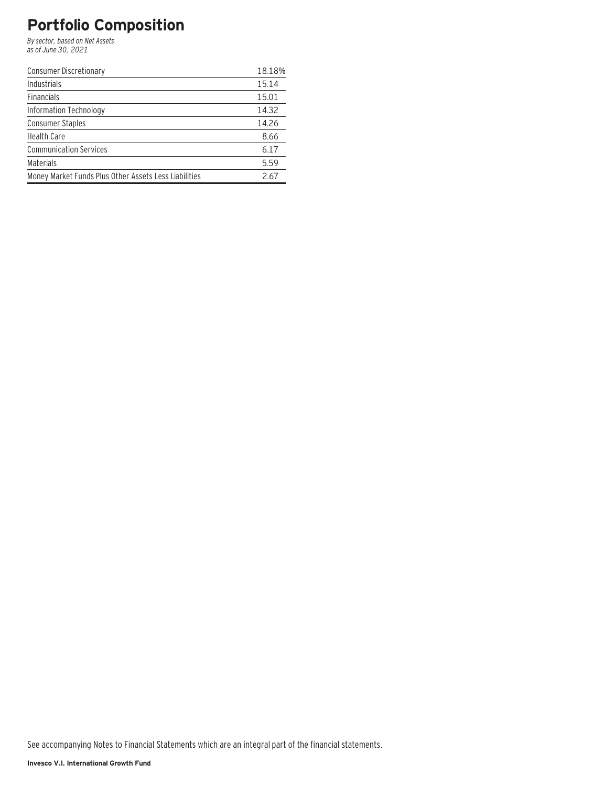# **Portfolio Composition**

By sector, based on Net Assets as of June 30, 2021

| <b>Consumer Discretionary</b>                         | 18.18% |
|-------------------------------------------------------|--------|
| Industrials                                           | 15.14  |
| <b>Financials</b>                                     | 15.01  |
| Information Technology                                | 14.32  |
| <b>Consumer Staples</b>                               | 14.26  |
| <b>Health Care</b>                                    | 8.66   |
| <b>Communication Services</b>                         | 6.17   |
| <b>Materials</b>                                      | 5.59   |
| Money Market Funds Plus Other Assets Less Liabilities | 2.67   |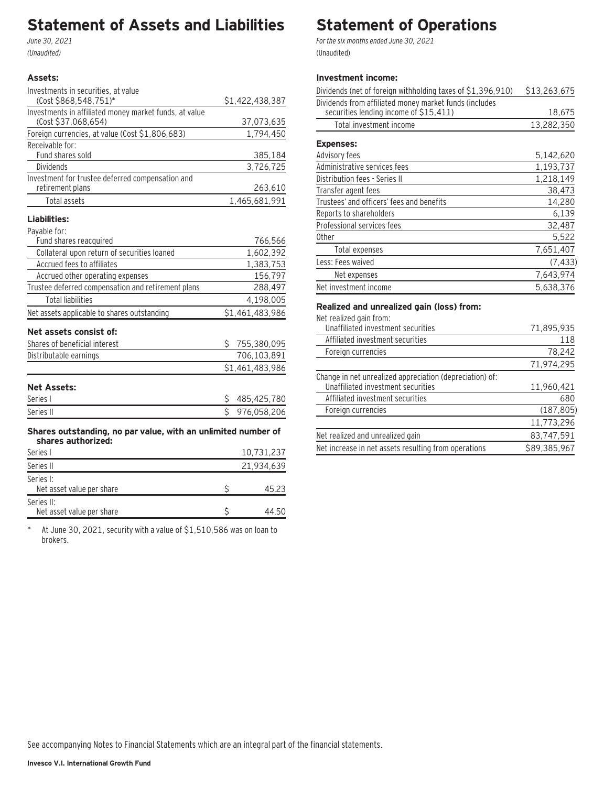## **Statement of Assets and Liabilities**

June 30, 2021 (Unaudited)

## **Assets:**

| Investments in securities, at value                                                 |    |                 |
|-------------------------------------------------------------------------------------|----|-----------------|
| (Cost \$868,548,751)*                                                               |    | \$1,422,438,387 |
| Investments in affiliated money market funds, at value                              |    |                 |
| (Cost \$37,068,654)                                                                 |    | 37,073,635      |
| Foreign currencies, at value (Cost \$1,806,683)                                     |    | 1,794,450       |
| Receivable for:                                                                     |    |                 |
| Fund shares sold                                                                    |    | 385,184         |
| Dividends                                                                           |    | 3,726,725       |
| Investment for trustee deferred compensation and                                    |    |                 |
| retirement plans                                                                    |    | 263,610         |
| <b>Total assets</b>                                                                 |    | 1,465,681,991   |
| Liabilities:                                                                        |    |                 |
| Payable for:                                                                        |    |                 |
| Fund shares reacquired                                                              |    | 766,566         |
| Collateral upon return of securities loaned                                         |    | 1,602,392       |
| Accrued fees to affiliates                                                          |    | 1,383,753       |
| Accrued other operating expenses                                                    |    | 156,797         |
| Trustee deferred compensation and retirement plans                                  |    | 288,497         |
| <b>Total liabilities</b>                                                            |    | 4,198,005       |
| Net assets applicable to shares outstanding                                         |    | \$1,461,483,986 |
|                                                                                     |    |                 |
| Net assets consist of:                                                              |    |                 |
| Shares of beneficial interest                                                       | \$ | 755,380,095     |
| Distributable earnings                                                              |    | 706,103,891     |
|                                                                                     |    | \$1,461,483,986 |
| <b>Net Assets:</b>                                                                  |    |                 |
| Series I                                                                            | \$ | 485,425,780     |
| Series II                                                                           | \$ | 976,058,206     |
| Shares outstanding, no par value, with an unlimited number of<br>shares authorized: |    |                 |
| Series I                                                                            |    | 10,731,237      |
| Series II                                                                           |    | 21,934,639      |
| Series I:                                                                           |    |                 |
| Net asset value per share                                                           | Ś  | 45.23           |
| Series II:                                                                          |    |                 |

\* At June 30, 2021, security with a value of \$1,510,586 was on loan to brokers.

Net asset value per share  $$$  44.50

## **Statement of Operations**

For the six months ended June 30, 2021 (Unaudited)

## **Investment income:**

| Dividends (net of foreign withholding taxes of \$1,396,910) | \$13,263,675 |
|-------------------------------------------------------------|--------------|
| Dividends from affiliated money market funds (includes      |              |
| securities lending income of \$15,411)                      | 18,675       |
| Total investment income                                     | 13,282,350   |
| <b>Expenses:</b>                                            |              |
| Advisory fees                                               | 5,142,620    |
| Administrative services fees                                | 1,193,737    |
| Distribution fees - Series II                               | 1,218,149    |
| Transfer agent fees                                         | 38,473       |
| Trustees' and officers' fees and benefits                   | 14,280       |
| Reports to shareholders                                     | 6,139        |
| Professional services fees                                  | 32,487       |
| 0ther                                                       | 5,522        |
| Total expenses                                              | 7,651,407    |
| Less: Fees waived                                           | (7, 433)     |
| Net expenses                                                | 7,643,974    |
| Net investment income                                       | 5.638.376    |

### **Realized and unrealized gain (loss) from:**

Net realized gain from:

| Unaffiliated investment securities                       | 71,895,935   |
|----------------------------------------------------------|--------------|
| Affiliated investment securities                         | 118          |
| Foreign currencies                                       | 78,242       |
|                                                          | 71,974,295   |
| Change in net unrealized appreciation (depreciation) of: |              |
| Unaffiliated investment securities                       | 11,960,421   |
| Affiliated investment securities                         | 680          |
| Foreign currencies                                       | (187, 805)   |
|                                                          | 11,773,296   |
| Net realized and unrealized gain                         | 83,747,591   |
| Net increase in net assets resulting from operations     | \$89,385,967 |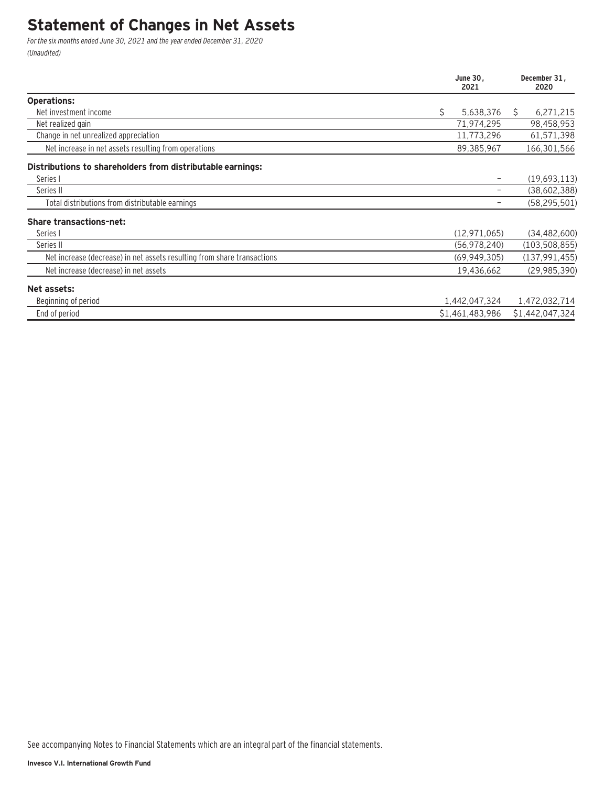## **Statement of Changes in Net Assets**

For the six months ended June 30, 2021 and the year ended December 31, 2020 (Unaudited)

|                                                                         | June 30,<br>2021 |   | December 31,<br>2020 |
|-------------------------------------------------------------------------|------------------|---|----------------------|
| <b>Operations:</b>                                                      |                  |   |                      |
| Net investment income                                                   | \$<br>5,638,376  | S | 6,271,215            |
| Net realized gain                                                       | 71,974,295       |   | 98,458,953           |
| Change in net unrealized appreciation                                   | 11,773,296       |   | 61,571,398           |
| Net increase in net assets resulting from operations                    | 89,385,967       |   | 166,301,566          |
| Distributions to shareholders from distributable earnings:              |                  |   |                      |
| Series I                                                                |                  |   | (19,693,113)         |
| Series II                                                               |                  |   | (38,602,388)         |
| Total distributions from distributable earnings                         |                  |   | (58, 295, 501)       |
| <b>Share transactions-net:</b>                                          |                  |   |                      |
| Series I                                                                | (12, 971, 065)   |   | (34, 482, 600)       |
| Series II                                                               | (56, 978, 240)   |   | (103, 508, 855)      |
| Net increase (decrease) in net assets resulting from share transactions | (69, 949, 305)   |   | (137, 991, 455)      |
| Net increase (decrease) in net assets                                   | 19,436,662       |   | (29, 985, 390)       |
| Net assets:                                                             |                  |   |                      |
| Beginning of period                                                     | 1,442,047,324    |   | 1,472,032,714        |
| End of period                                                           | \$1,461,483,986  |   | \$1,442,047,324      |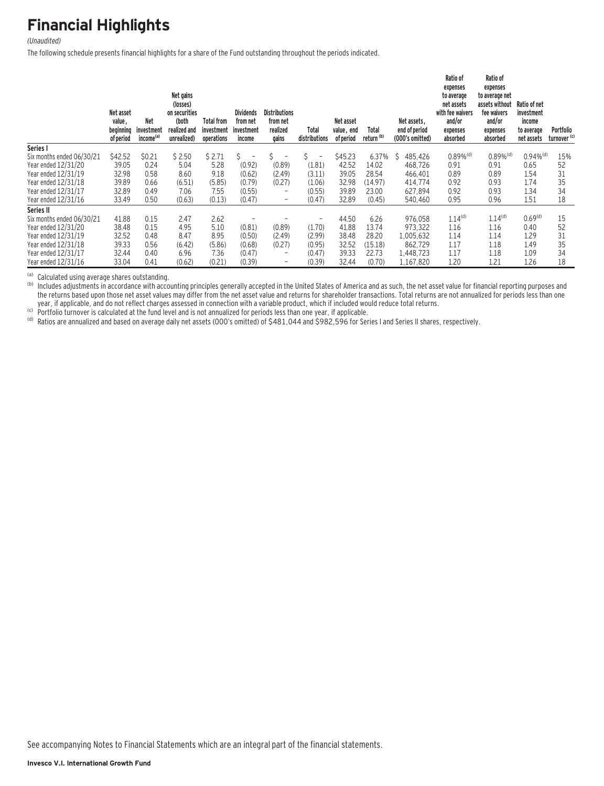## **Financial Highlights**

#### (Unaudited)

The following schedule presents financial highlights for a share of the Fund outstanding throughout the periods indicated.

|                           | Net asset<br>value,<br>beginning<br>of period | <b>Net</b><br>investment<br>income <sup>(a)</sup> | Net gains<br>(losses)<br>on securities<br>(both<br>realized and<br>unrealized) | Total from<br>investment<br>operations | <b>Dividends</b><br>from net<br>investment<br>income | <b>Distributions</b><br>from net<br>realized<br>gains | Total<br>distributions        | Net asset<br>value, end<br>of period | Total<br>return <sup>(b)</sup> | Net assets.<br>end of period<br>(000's omitted) | Ratio of<br>expenses<br>to average<br>net assets<br>with fee waivers<br>and/or<br>expenses<br>absorbed | Ratio of<br>expenses<br>to average net<br>assets without<br>fee waivers<br>and/or<br>expenses<br>absorbed | Ratio of net<br>investment<br>income<br>to average<br>net assets | Portfolio<br>turnover <sup>(c)</sup> |
|---------------------------|-----------------------------------------------|---------------------------------------------------|--------------------------------------------------------------------------------|----------------------------------------|------------------------------------------------------|-------------------------------------------------------|-------------------------------|--------------------------------------|--------------------------------|-------------------------------------------------|--------------------------------------------------------------------------------------------------------|-----------------------------------------------------------------------------------------------------------|------------------------------------------------------------------|--------------------------------------|
| Series I                  |                                               |                                                   |                                                                                |                                        |                                                      |                                                       |                               |                                      |                                |                                                 |                                                                                                        |                                                                                                           |                                                                  |                                      |
| Six months ended 06/30/21 | \$42.52                                       | \$0.21                                            | \$2.50                                                                         | \$2.71                                 | Ŝ.                                                   | Ś                                                     | Ś<br>$\overline{\phantom{a}}$ | \$45.23                              | 6.37%                          | Ŝ<br>485.426                                    | $0.89\%$ <sup>(d)</sup>                                                                                | $0.89\%$ <sup>(d)</sup>                                                                                   | $0.94\%$ <sup>(d)</sup>                                          | 15%                                  |
| Year ended 12/31/20       | 39.05                                         | 0.24                                              | 5.04                                                                           | 5.28                                   | (0.92)                                               | (0.89)                                                | (1.81)                        | 42.52                                | 14.02                          | 468.726                                         | 0.91                                                                                                   | 0.91                                                                                                      | 0.65                                                             | 52                                   |
| Year ended 12/31/19       | 32.98                                         | 0.58                                              | 8.60                                                                           | 9.18                                   | (0.62)                                               | (2.49)                                                | (3.11)                        | 39.05                                | 28.54                          | 466,401                                         | 0.89                                                                                                   | 0.89                                                                                                      | 1.54                                                             | 31                                   |
| Year ended 12/31/18       | 39.89                                         | 0.66                                              | (6.51)                                                                         | (5.85)                                 | (0.79)                                               | (0.27)                                                | (1.06)                        | 32.98                                | (14.97)                        | 414.774                                         | 0.92                                                                                                   | 0.93                                                                                                      | 1.74                                                             | 35                                   |
| Year ended 12/31/17       | 32.89                                         | 0.49                                              | 7.06                                                                           | 7.55                                   | (0.55)                                               | $\qquad \qquad =$                                     | (0.55)                        | 39.89                                | 23.00                          | 627,894                                         | 0.92                                                                                                   | 0.93                                                                                                      | 1.34                                                             | 34                                   |
| Year ended 12/31/16       | 33.49                                         | 0.50                                              | (0.63)                                                                         | (0.13)                                 | (0.47)                                               | $\overline{\phantom{a}}$                              | (0.47)                        | 32.89                                | (0.45)                         | 540,460                                         | 0.95                                                                                                   | 0.96                                                                                                      | 1.51                                                             | 18                                   |
| Series II                 |                                               |                                                   |                                                                                |                                        |                                                      |                                                       |                               |                                      |                                |                                                 |                                                                                                        |                                                                                                           |                                                                  |                                      |
| Six months ended 06/30/21 | 41.88                                         | 0.15                                              | 2.47                                                                           | 2.62                                   |                                                      |                                                       | $\overline{\phantom{0}}$      | 44.50                                | 6.26                           | 976.058                                         | 1.14 <sup>(d)</sup>                                                                                    | 1.14 <sup>(d)</sup>                                                                                       | 0.69 <sup>(d)</sup>                                              | 15                                   |
| Year ended 12/31/20       | 38.48                                         | 0.15                                              | 4.95                                                                           | 5.10                                   | (0.81)                                               | (0.89)                                                | (1.70)                        | 41.88                                | 13.74                          | 973.322                                         | 1.16                                                                                                   | 1.16                                                                                                      | 0.40                                                             | 52                                   |
| Year ended 12/31/19       | 32.52                                         | 0.48                                              | 8.47                                                                           | 8.95                                   | (0.50)                                               | (2.49)                                                | (2.99)                        | 38.48                                | 28.20                          | 1,005,632                                       | 1.14                                                                                                   | 1.14                                                                                                      | 1.29                                                             | 31                                   |
| Year ended 12/31/18       | 39.33                                         | 0.56                                              | (6.42)                                                                         | (5.86)                                 | (0.68)                                               | (0.27)                                                | (0.95)                        | 32.52                                | (15.18)                        | 862,729                                         | 1.17                                                                                                   | 1.18                                                                                                      | 1.49                                                             | 35                                   |
| Year ended 12/31/17       | 32.44                                         | 0.40                                              | 6.96                                                                           | 7.36                                   | (0.47)                                               | $\qquad \qquad =$                                     | (0.47)                        | 39.33                                | 22.73                          | 1,448,723                                       | 1.17                                                                                                   | 1.18                                                                                                      | 1.09                                                             | 34                                   |
| Year ended 12/31/16       | 33.04                                         | 0.41                                              | (0.62)                                                                         | (0.21)                                 | (0.39)                                               | $\qquad \qquad =$                                     | (0.39)                        | 32.44                                | (0.70)                         | 1,167,820                                       | 1.20                                                                                                   | 1.21                                                                                                      | 1.26                                                             | 18                                   |

(a) Calculated using average shares outstanding.<br>(b) Includes adjustments in accordance with accounting principles generally accepted in the United States of America and as such, the net asset value for financial reporting the returns based upon those net asset values may differ from the net asset value and returns for shareholder transactions. Total returns are not annualized for periods less than one year, if applicable, and do not reflect

(c) Portfolio turnover is calculated at the fund level and is not annualized for periods less than one year, if applicable.<br>(d) Ratios are annualized and based on average daily net assets (OOO's omitted) of \$481,044 and \$9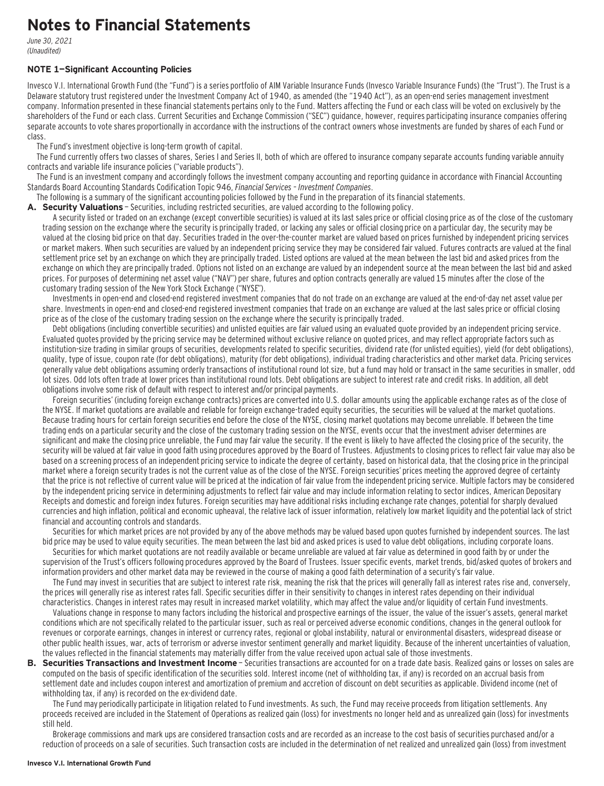## **Notes to Financial Statements**

June 30, 2021 (Unaudited)

### **NOTE 1—Significant Accounting Policies**

Invesco V.I. International Growth Fund (the "Fund") is a series portfolio of AIM Variable Insurance Funds (Invesco Variable Insurance Funds) (the "Trust"). The Trust is a Delaware statutory trust registered under the Investment Company Act of 1940, as amended (the "1940 Act"), as an open-end series management investment company. Information presented in these financial statements pertains only to the Fund. Matters affecting the Fund or each class will be voted on exclusively by the shareholders of the Fund or each class. Current Securities and Exchange Commission ("SEC") guidance, however, requires participating insurance companies offering separate accounts to vote shares proportionally in accordance with the instructions of the contract owners whose investments are funded by shares of each Fund or class.

The Fund's investment objective is long-term growth of capital.

The Fund currently offers two classes of shares, Series I and Series II, both of which are offered to insurance company separate accounts funding variable annuity contracts and variable life insurance policies ("variable products").

The Fund is an investment company and accordingly follows the investment company accounting and reporting guidance in accordance with Financial Accounting Standards Board Accounting Standards Codification Topic 946, Financial Services – Investment Companies.

The following is a summary of the significant accounting policies followed by the Fund in the preparation of its financial statements.

**A. Security Valuations** — Securities, including restricted securities, are valued according to the following policy.

A security listed or traded on an exchange (except convertible securities) is valued at its last sales price or official closing price as of the close of the customary trading session on the exchange where the security is principally traded, or lacking any sales or official closing price on a particular day, the security may be valued at the closing bid price on that day. Securities traded in the over-the-counter market are valued based on prices furnished by independent pricing services or market makers. When such securities are valued by an independent pricing service they may be considered fair valued. Futures contracts are valued at the final settlement price set by an exchange on which they are principally traded. Listed options are valued at the mean between the last bid and asked prices from the exchange on which they are principally traded. Options not listed on an exchange are valued by an independent source at the mean between the last bid and asked prices. For purposes of determining net asset value ("NAV") per share, futures and option contracts generally are valued 15 minutes after the close of the customary trading session of the New York Stock Exchange ("NYSE").

Investments in open-end and closed-end registered investment companies that do not trade on an exchange are valued at the end-of-day net asset value per share. Investments in open-end and closed-end registered investment companies that trade on an exchange are valued at the last sales price or official closing price as of the close of the customary trading session on the exchange where the security is principally traded.

Debt obligations (including convertible securities) and unlisted equities are fair valued using an evaluated quote provided by an independent pricing service. Evaluated quotes provided by the pricing service may be determined without exclusive reliance on quoted prices, and may reflect appropriate factors such as institution-size trading in similar groups of securities, developments related to specific securities, dividend rate (for unlisted equities), yield (for debt obligations), quality, type of issue, coupon rate (for debt obligations), maturity (for debt obligations), individual trading characteristics and other market data. Pricing services generally value debt obligations assuming orderly transactions of institutional round lot size, but a fund may hold or transact in the same securities in smaller, odd lot sizes. Odd lots often trade at lower prices than institutional round lots. Debt obligations are subject to interest rate and credit risks. In addition, all debt obligations involve some risk of default with respect to interest and/or principal payments.

Foreign securities' (including foreign exchange contracts) prices are converted into U.S. dollar amounts using the applicable exchange rates as of the close of the NYSE. If market quotations are available and reliable for foreign exchange-traded equity securities, the securities will be valued at the market quotations. Because trading hours for certain foreign securities end before the close of the NYSE, closing market quotations may become unreliable. If between the time trading ends on a particular security and the close of the customary trading session on the NYSE, events occur that the investment adviser determines are significant and make the closing price unreliable, the Fund may fair value the security. If the event is likely to have affected the closing price of the security, the security will be valued at fair value in good faith using procedures approved by the Board of Trustees. Adjustments to closing prices to reflect fair value may also be based on a screening process of an independent pricing service to indicate the degree of certainty, based on historical data, that the closing price in the principal market where a foreign security trades is not the current value as of the close of the NYSE. Foreign securities' prices meeting the approved degree of certainty that the price is not reflective of current value will be priced at the indication of fair value from the independent pricing service. Multiple factors may be considered by the independent pricing service in determining adjustments to reflect fair value and may include information relating to sector indices, American Depositary Receipts and domestic and foreign index futures. Foreign securities may have additional risks including exchange rate changes, potential for sharply devalued currencies and high inflation, political and economic upheaval, the relative lack of issuer information, relatively low market liquidity and the potential lack of strict financial and accounting controls and standards.

Securities for which market prices are not provided by any of the above methods may be valued based upon quotes furnished by independent sources. The last bid price may be used to value equity securities. The mean between the last bid and asked prices is used to value debt obligations, including corporate loans.

Securities for which market quotations are not readily available or became unreliable are valued at fair value as determined in good faith by or under the supervision of the Trust's officers following procedures approved by the Board of Trustees. Issuer specific events, market trends, bid/asked quotes of brokers and information providers and other market data may be reviewed in the course of making a good faith determination of a security's fair value.

The Fund may invest in securities that are subject to interest rate risk, meaning the risk that the prices will generally fall as interest rates rise and, conversely, the prices will generally rise as interest rates fall. Specific securities differ in their sensitivity to changes in interest rates depending on their individual characteristics. Changes in interest rates may result in increased market volatility, which may affect the value and/or liquidity of certain Fund investments.

Valuations change in response to many factors including the historical and prospective earnings of the issuer, the value of the issuer's assets, general market conditions which are not specifically related to the particular issuer, such as real or perceived adverse economic conditions, changes in the general outlook for revenues or corporate earnings, changes in interest or currency rates, regional or global instability, natural or environmental disasters, widespread disease or other public health issues, war, acts of terrorism or adverse investor sentiment generally and market liquidity. Because of the inherent uncertainties of valuation, the values reflected in the financial statements may materially differ from the value received upon actual sale of those investments.

**B. Securities Transactions and Investment Income** - Securities transactions are accounted for on a trade date basis. Realized gains or losses on sales are computed on the basis of specific identification of the securities sold. Interest income (net of withholding tax, if any) is recorded on an accrual basis from settlement date and includes coupon interest and amortization of premium and accretion of discount on debt securities as applicable. Dividend income (net of withholding tax, if any) is recorded on the ex-dividend date.

The Fund may periodically participate in litigation related to Fund investments. As such, the Fund may receive proceeds from litigation settlements. Any proceeds received are included in the Statement of Operations as realized gain (loss) for investments no longer held and as unrealized gain (loss) for investments still held.

Brokerage commissions and mark ups are considered transaction costs and are recorded as an increase to the cost basis of securities purchased and/or a reduction of proceeds on a sale of securities. Such transaction costs are included in the determination of net realized and unrealized gain (loss) from investment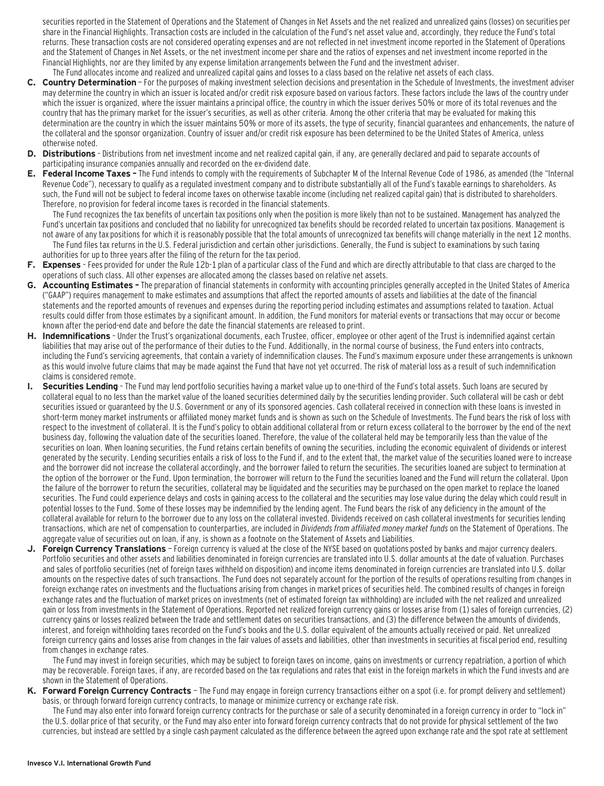securities reported in the Statement of Operations and the Statement of Changes in Net Assets and the net realized and unrealized gains (losses) on securities per share in the Financial Highlights. Transaction costs are included in the calculation of the Fund's net asset value and, accordingly, they reduce the Fund's total returns. These transaction costs are not considered operating expenses and are not reflected in net investment income reported in the Statement of Operations and the Statement of Changes in Net Assets, or the net investment income per share and the ratios of expenses and net investment income reported in the Financial Highlights, nor are they limited by any expense limitation arrangements between the Fund and the investment adviser. The Fund allocates income and realized and unrealized capital gains and losses to a class based on the relative net assets of each class.

- **C. Country Determination**  For the purposes of making investment selection decisions and presentation in the Schedule of Investments, the investment adviser may determine the country in which an issuer is located and/or credit risk exposure based on various factors. These factors include the laws of the country under which the issuer is organized, where the issuer maintains a principal office, the country in which the issuer derives 50% or more of its total revenues and the country that has the primary market for the issuer's securities, as well as other criteria. Among the other criteria that may be evaluated for making this determination are the country in which the issuer maintains 50% or more of its assets, the type of security, financial guarantees and enhancements, the nature of the collateral and the sponsor organization. Country of issuer and/or credit risk exposure has been determined to be the United States of America, unless otherwise noted.
- **D. Distributions**  Distributions from net investment income and net realized capital gain, if any, are generally declared and paid to separate accounts of participating insurance companies annually and recorded on the ex-dividend date.
- **E. Federal Income Taxes** The Fund intends to comply with the requirements of Subchapter M of the Internal Revenue Code of 1986, as amended (the "Internal Revenue Code"), necessary to qualify as a regulated investment company and to distribute substantially all of the Fund's taxable earnings to shareholders. As such, the Fund will not be subject to federal income taxes on otherwise taxable income (including net realized capital gain) that is distributed to shareholders. Therefore, no provision for federal income taxes is recorded in the financial statements.

The Fund recognizes the tax benefits of uncertain tax positions only when the position is more likely than not to be sustained. Management has analyzed the Fund's uncertain tax positions and concluded that no liability for unrecognized tax benefits should be recorded related to uncertain tax positions. Management is not aware of any tax positions for which it is reasonably possible that the total amounts of unrecognized tax benefits will change materially in the next 12 months. The Fund files tax returns in the U.S. Federal jurisdiction and certain other jurisdictions. Generally, the Fund is subject to examinations by such taxing

- authorities for up to three years after the filing of the return for the tax period. **F. Expenses** – Fees provided for under the Rule 12b-1 plan of a particular class of the Fund and which are directly attributable to that class are charged to the
- operations of such class. All other expenses are allocated among the classes based on relative net assets.
- **G. Accounting Estimates** The preparation of financial statements in conformity with accounting principles generally accepted in the United States of America ("GAAP") requires management to make estimates and assumptions that affect the reported amounts of assets and liabilities at the date of the financial statements and the reported amounts of revenues and expenses during the reporting period including estimates and assumptions related to taxation. Actual results could differ from those estimates by a significant amount. In addition, the Fund monitors for material events or transactions that may occur or become known after the period-end date and before the date the financial statements are released to print.
- **H. Indemnifications**  Under the Trust's organizational documents, each Trustee, officer, employee or other agent of the Trust is indemnified against certain liabilities that may arise out of the performance of their duties to the Fund. Additionally, in the normal course of business, the Fund enters into contracts, including the Fund's servicing agreements, that contain a variety of indemnification clauses. The Fund's maximum exposure under these arrangements is unknown as this would involve future claims that may be made against the Fund that have not yet occurred. The risk of material loss as a result of such indemnification claims is considered remote.
- **I. Securities Lending**  The Fund may lend portfolio securities having a market value up to one-third of the Fund's total assets. Such loans are secured by collateral equal to no less than the market value of the loaned securities determined daily by the securities lending provider. Such collateral will be cash or debt securities issued or guaranteed by the U.S. Government or any of its sponsored agencies. Cash collateral received in connection with these loans is invested in short-term money market instruments or affiliated money market funds and is shown as such on the Schedule of Investments. The Fund bears the risk of loss with respect to the investment of collateral. It is the Fund's policy to obtain additional collateral from or return excess collateral to the borrower by the end of the next business day, following the valuation date of the securities loaned. Therefore, the value of the collateral held may be temporarily less than the value of the securities on loan. When loaning securities, the Fund retains certain benefits of owning the securities, including the economic equivalent of dividends or interest generated by the security. Lending securities entails a risk of loss to the Fund if, and to the extent that, the market value of the securities loaned were to increase and the borrower did not increase the collateral accordingly, and the borrower failed to return the securities. The securities loaned are subject to termination at the option of the borrower or the Fund. Upon termination, the borrower will return to the Fund the securities loaned and the Fund will return the collateral. Upon the failure of the borrower to return the securities, collateral may be liquidated and the securities may be purchased on the open market to replace the loaned securities. The Fund could experience delays and costs in gaining access to the collateral and the securities may lose value during the delay which could result in potential losses to the Fund. Some of these losses may be indemnified by the lending agent. The Fund bears the risk of any deficiency in the amount of the collateral available for return to the borrower due to any loss on the collateral invested. Dividends received on cash collateral investments for securities lending transactions, which are net of compensation to counterparties, are included in Dividends from affiliated money market funds on the Statement of Operations. The aggregate value of securities out on loan, if any, is shown as a footnote on the Statement of Assets and Liabilities.
- **J. Foreign Currency Translations**  Foreign currency is valued at the close of the NYSE based on quotations posted by banks and major currency dealers. Portfolio securities and other assets and liabilities denominated in foreign currencies are translated into U.S. dollar amounts at the date of valuation. Purchases and sales of portfolio securities (net of foreign taxes withheld on disposition) and income items denominated in foreign currencies are translated into U.S. dollar amounts on the respective dates of such transactions. The Fund does not separately account for the portion of the results of operations resulting from changes in foreign exchange rates on investments and the fluctuations arising from changes in market prices of securities held. The combined results of changes in foreign exchange rates and the fluctuation of market prices on investments (net of estimated foreign tax withholding) are included with the net realized and unrealized gain or loss from investments in the Statement of Operations. Reported net realized foreign currency gains or losses arise from (1) sales of foreign currencies, (2) currency gains or losses realized between the trade and settlement dates on securities transactions, and (3) the difference between the amounts of dividends, interest, and foreign withholding taxes recorded on the Fund's books and the U.S. dollar equivalent of the amounts actually received or paid. Net unrealized foreign currency gains and losses arise from changes in the fair values of assets and liabilities, other than investments in securities at fiscal period end, resulting from changes in exchange rates.

The Fund may invest in foreign securities, which may be subject to foreign taxes on income, gains on investments or currency repatriation, a portion of which may be recoverable. Foreign taxes, if any, are recorded based on the tax regulations and rates that exist in the foreign markets in which the Fund invests and are shown in the Statement of Operations.

**K. Forward Foreign Currency Contracts** — The Fund may engage in foreign currency transactions either on a spot (i.e. for prompt delivery and settlement) basis, or through forward foreign currency contracts, to manage or minimize currency or exchange rate risk.

The Fund may also enter into forward foreign currency contracts for the purchase or sale of a security denominated in a foreign currency in order to "lock in" the U.S. dollar price of that security, or the Fund may also enter into forward foreign currency contracts that do not provide for physical settlement of the two currencies, but instead are settled by a single cash payment calculated as the difference between the agreed upon exchange rate and the spot rate at settlement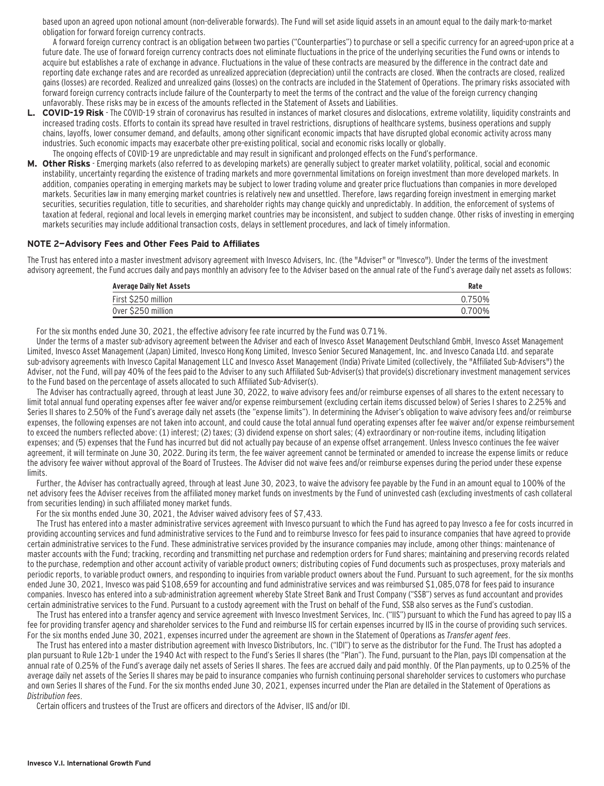based upon an agreed upon notional amount (non-deliverable forwards). The Fund will set aside liquid assets in an amount equal to the daily mark-to-market obligation for forward foreign currency contracts.

A forward foreign currency contract is an obligation between two parties ("Counterparties") to purchase or sell a specific currency for an agreed-upon price at a future date. The use of forward foreign currency contracts does not eliminate fluctuations in the price of the underlying securities the Fund owns or intends to acquire but establishes a rate of exchange in advance. Fluctuations in the value of these contracts are measured by the difference in the contract date and reporting date exchange rates and are recorded as unrealized appreciation (depreciation) until the contracts are closed. When the contracts are closed, realized gains (losses) are recorded. Realized and unrealized gains (losses) on the contracts are included in the Statement of Operations. The primary risks associated with forward foreign currency contracts include failure of the Counterparty to meet the terms of the contract and the value of the foreign currency changing unfavorably. These risks may be in excess of the amounts reflected in the Statement of Assets and Liabilities.

- **L. COVID-19 Risk**  The COVID-19 strain of coronavirus has resulted in instances of market closures and dislocations, extreme volatility, liquidity constraints and increased trading costs. Efforts to contain its spread have resulted in travel restrictions, disruptions of healthcare systems, business operations and supply chains, layoffs, lower consumer demand, and defaults, among other significant economic impacts that have disrupted global economic activity across many industries. Such economic impacts may exacerbate other pre-existing political, social and economic risks locally or globally. The ongoing effects of COVID-19 are unpredictable and may result in significant and prolonged effects on the Fund's performance.
- **M. Other Risks**  Emerging markets (also referred to as developing markets) are generally subject to greater market volatility, political, social and economic instability, uncertainty regarding the existence of trading markets and more governmental limitations on foreign investment than more developed markets. In addition, companies operating in emerging markets may be subject to lower trading volume and greater price fluctuations than companies in more developed markets. Securities law in many emerging market countries is relatively new and unsettled. Therefore, laws regarding foreign investment in emerging market securities, securities regulation, title to securities, and shareholder rights may change quickly and unpredictably. In addition, the enforcement of systems of taxation at federal, regional and local levels in emerging market countries may be inconsistent, and subject to sudden change. Other risks of investing in emerging markets securities may include additional transaction costs, delays in settlement procedures, and lack of timely information.

#### **NOTE 2—Advisory Fees and Other Fees Paid to Affiliates**

The Trust has entered into a master investment advisory agreement with Invesco Advisers, Inc. (the "Adviser" or "Invesco"). Under the terms of the investment advisory agreement, the Fund accrues daily and pays monthly an advisory fee to the Adviser based on the annual rate of the Fund's average daily net assets as follows:

| <b>Average Daily Net Assets</b> | Rate   |
|---------------------------------|--------|
| First \$250 million             | 0.750% |
| Over \$250 million              | 0.700% |

For the six months ended June 30, 2021, the effective advisory fee rate incurred by the Fund was 0.71%.

Under the terms of a master sub-advisory agreement between the Adviser and each of Invesco Asset Management Deutschland GmbH, Invesco Asset Management Limited, Invesco Asset Management (Japan) Limited, Invesco Hong Kong Limited, Invesco Senior Secured Management, Inc. and Invesco Canada Ltd. and separate sub-advisory agreements with Invesco Capital Management LLC and Invesco Asset Management (India) Private Limited (collectively, the "Affiliated Sub-Advisers") the Adviser, not the Fund, will pay 40% of the fees paid to the Adviser to any such Affiliated Sub-Adviser(s) that provide(s) discretionary investment management services to the Fund based on the percentage of assets allocated to such Affiliated Sub-Adviser(s).

The Adviser has contractually agreed, through at least June 30, 2022, to waive advisory fees and/or reimburse expenses of all shares to the extent necessary to limit total annual fund operating expenses after fee waiver and/or expense reimbursement (excluding certain items discussed below) of Series I shares to 2.25% and Series II shares to 2.50% of the Fund's average daily net assets (the "expense limits"). In determining the Adviser's obligation to waive advisory fees and/or reimburse expenses, the following expenses are not taken into account, and could cause the total annual fund operating expenses after fee waiver and/or expense reimbursement to exceed the numbers reflected above: (1) interest; (2) taxes; (3) dividend expense on short sales; (4) extraordinary or non-routine items, including litigation expenses; and (5) expenses that the Fund has incurred but did not actually pay because of an expense offset arrangement. Unless Invesco continues the fee waiver agreement, it will terminate on June 30, 2022. During its term, the fee waiver agreement cannot be terminated or amended to increase the expense limits or reduce the advisory fee waiver without approval of the Board of Trustees. The Adviser did not waive fees and/or reimburse expenses during the period under these expense limits.

Further, the Adviser has contractually agreed, through at least June 30, 2023, to waive the advisory fee payable by the Fund in an amount equal to 100% of the net advisory fees the Adviser receives from the affiliated money market funds on investments by the Fund of uninvested cash (excluding investments of cash collateral from securities lending) in such affiliated money market funds.

For the six months ended June 30, 2021, the Adviser waived advisory fees of \$7,433.

The Trust has entered into a master administrative services agreement with Invesco pursuant to which the Fund has agreed to pay Invesco a fee for costs incurred in providing accounting services and fund administrative services to the Fund and to reimburse Invesco for fees paid to insurance companies that have agreed to provide certain administrative services to the Fund. These administrative services provided by the insurance companies may include, among other things: maintenance of master accounts with the Fund; tracking, recording and transmitting net purchase and redemption orders for Fund shares; maintaining and preserving records related to the purchase, redemption and other account activity of variable product owners; distributing copies of Fund documents such as prospectuses, proxy materials and periodic reports, to variable product owners, and responding to inquiries from variable product owners about the Fund. Pursuant to such agreement, for the six months ended June 30, 2021, Invesco was paid \$108,659 for accounting and fund administrative services and was reimbursed \$1,085,078 for fees paid to insurance companies. Invesco has entered into a sub-administration agreement whereby State Street Bank and Trust Company ("SSB") serves as fund accountant and provides certain administrative services to the Fund. Pursuant to a custody agreement with the Trust on behalf of the Fund, SSB also serves as the Fund's custodian.

The Trust has entered into a transfer agency and service agreement with Invesco Investment Services, Inc. ("IIS") pursuant to which the Fund has agreed to pay IIS a fee for providing transfer agency and shareholder services to the Fund and reimburse IIS for certain expenses incurred by IIS in the course of providing such services. For the six months ended June 30, 2021, expenses incurred under the agreement are shown in the Statement of Operations as Transfer agent fees.

The Trust has entered into a master distribution agreement with Invesco Distributors, Inc. ("IDI") to serve as the distributor for the Fund. The Trust has adopted a plan pursuant to Rule 12b-1 under the 1940 Act with respect to the Fund's Series II shares (the "Plan"). The Fund, pursuant to the Plan, pays IDI compensation at the annual rate of 0.25% of the Fund's average daily net assets of Series II shares. The fees are accrued daily and paid monthly. Of the Plan payments, up to 0.25% of the average daily net assets of the Series II shares may be paid to insurance companies who furnish continuing personal shareholder services to customers who purchase and own Series II shares of the Fund. For the six months ended June 30, 2021, expenses incurred under the Plan are detailed in the Statement of Operations as Distribution fees.

Certain officers and trustees of the Trust are officers and directors of the Adviser, IIS and/or IDI.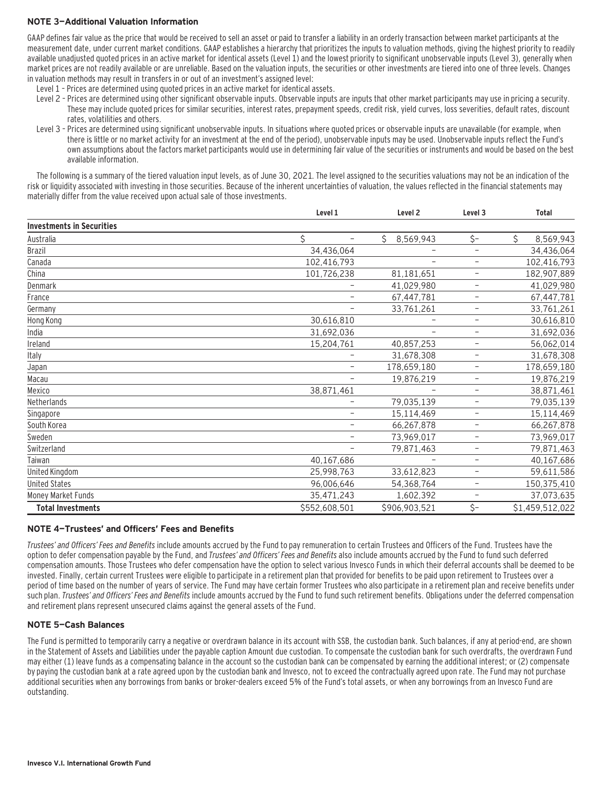## **NOTE 3—Additional Valuation Information**

GAAP defines fair value as the price that would be received to sell an asset or paid to transfer a liability in an orderly transaction between market participants at the measurement date, under current market conditions. GAAP establishes a hierarchy that prioritizes the inputs to valuation methods, giving the highest priority to readily available unadjusted quoted prices in an active market for identical assets (Level 1) and the lowest priority to significant unobservable inputs (Level 3), generally when market prices are not readily available or are unreliable. Based on the valuation inputs, the securities or other investments are tiered into one of three levels. Changes in valuation methods may result in transfers in or out of an investment's assigned level:

- Level 1 Prices are determined using quoted prices in an active market for identical assets.
- Level 2 Prices are determined using other significant observable inputs. Observable inputs are inputs that other market participants may use in pricing a security. These may include quoted prices for similar securities, interest rates, prepayment speeds, credit risk, yield curves, loss severities, default rates, discount rates, volatilities and others.
- Level 3 Prices are determined using significant unobservable inputs. In situations where quoted prices or observable inputs are unavailable (for example, when there is little or no market activity for an investment at the end of the period), unobservable inputs may be used. Unobservable inputs reflect the Fund's own assumptions about the factors market participants would use in determining fair value of the securities or instruments and would be based on the best available information.

The following is a summary of the tiered valuation input levels, as of June 30, 2021. The level assigned to the securities valuations may not be an indication of the risk or liquidity associated with investing in those securities. Because of the inherent uncertainties of valuation, the values reflected in the financial statements may materially differ from the value received upon actual sale of those investments.

|                                  | Level 1                 | Level <sub>2</sub> | Level <sub>3</sub>       | <b>Total</b>    |
|----------------------------------|-------------------------|--------------------|--------------------------|-----------------|
| <b>Investments in Securities</b> |                         |                    |                          |                 |
| Australia                        | Ś.<br>$\qquad \qquad -$ | Ś.<br>8,569,943    | \$-                      | \$<br>8,569,943 |
| Brazil                           | 34,436,064              |                    | -                        | 34,436,064      |
| Canada                           | 102,416,793             | ۰                  | $\overline{\phantom{0}}$ | 102,416,793     |
| China                            | 101,726,238             | 81,181,651         | $\overline{\phantom{0}}$ | 182,907,889     |
| Denmark                          |                         | 41,029,980         | $\overline{\phantom{m}}$ | 41,029,980      |
| France                           | -                       | 67,447,781         | $\overline{\phantom{a}}$ | 67,447,781      |
| Germany                          | $\qquad \qquad -$       | 33,761,261         | $\overline{\phantom{m}}$ | 33,761,261      |
| Hong Kong                        | 30,616,810              |                    | $\overline{\phantom{0}}$ | 30,616,810      |
| India                            | 31,692,036              |                    | -                        | 31,692,036      |
| Ireland                          | 15,204,761              | 40,857,253         | -                        | 56,062,014      |
| Italy                            |                         | 31,678,308         | $\overline{\phantom{0}}$ | 31,678,308      |
| Japan                            | -                       | 178,659,180        | -                        | 178,659,180     |
| Macau                            |                         | 19,876,219         | -                        | 19,876,219      |
| Mexico                           | 38,871,461              |                    | $\overline{\phantom{m}}$ | 38,871,461      |
| Netherlands                      |                         | 79,035,139         | $\overline{\phantom{m}}$ | 79,035,139      |
| Singapore                        | -                       | 15,114,469         | -                        | 15,114,469      |
| South Korea                      | -                       | 66,267,878         | $\qquad \qquad -$        | 66,267,878      |
| Sweden                           | $\qquad \qquad -$       | 73,969,017         | $\overline{\phantom{0}}$ | 73,969,017      |
| Switzerland                      | -                       | 79,871,463         | -                        | 79,871,463      |
| Taiwan                           | 40,167,686              |                    | $\overline{\phantom{0}}$ | 40,167,686      |
| United Kingdom                   | 25,998,763              | 33,612,823         | $\overline{\phantom{m}}$ | 59,611,586      |
| <b>United States</b>             | 96,006,646              | 54,368,764         | $\overline{\phantom{a}}$ | 150,375,410     |
| Money Market Funds               | 35,471,243              | 1,602,392          | -                        | 37,073,635      |
| <b>Total Investments</b>         | \$552,608,501           | \$906,903,521      | $\zeta$ -                | \$1,459,512,022 |

## **NOTE 4—Trustees' and Officers' Fees and Benefits**

Trustees' and Officers' Fees and Benefits include amounts accrued by the Fund to pay remuneration to certain Trustees and Officers of the Fund. Trustees have the option to defer compensation payable by the Fund, and Trustees' and Officers' Fees and Benefits also include amounts accrued by the Fund to fund such deferred compensation amounts. Those Trustees who defer compensation have the option to select various Invesco Funds in which their deferral accounts shall be deemed to be invested. Finally, certain current Trustees were eligible to participate in a retirement plan that provided for benefits to be paid upon retirement to Trustees over a period of time based on the number of years of service. The Fund may have certain former Trustees who also participate in a retirement plan and receive benefits under such plan. Trustees' and Officers' Fees and Benefits include amounts accrued by the Fund to fund such retirement benefits. Obligations under the deferred compensation and retirement plans represent unsecured claims against the general assets of the Fund.

## **NOTE 5—Cash Balances**

The Fund is permitted to temporarily carry a negative or overdrawn balance in its account with SSB, the custodian bank. Such balances, if any at period-end, are shown in the Statement of Assets and Liabilities under the payable caption Amount due custodian. To compensate the custodian bank for such overdrafts, the overdrawn Fund may either (1) leave funds as a compensating balance in the account so the custodian bank can be compensated by earning the additional interest; or (2) compensate by paying the custodian bank at a rate agreed upon by the custodian bank and Invesco, not to exceed the contractually agreed upon rate. The Fund may not purchase additional securities when any borrowings from banks or broker-dealers exceed 5% of the Fund's total assets, or when any borrowings from an Invesco Fund are outstanding.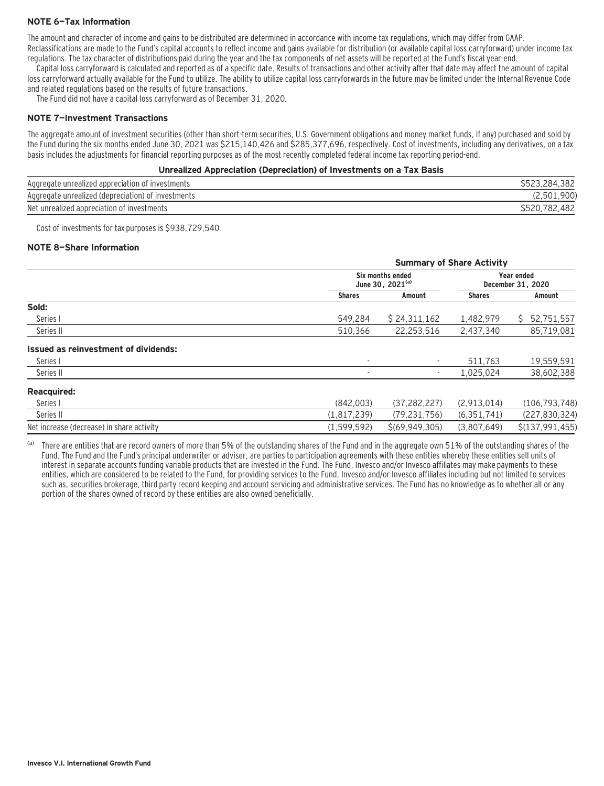## **NOTE 6—Tax Information**

The amount and character of income and gains to be distributed are determined in accordance with income tax regulations, which may differ from GAAP.

Reclassifications are made to the Fund's capital accounts to reflect income and gains available for distribution (or available capital loss carryforward) under income tax regulations. The tax character of distributions paid during the year and the tax components of net assets will be reported at the Fund's fiscal year-end.

Capital loss carryforward is calculated and reported as of a specific date. Results of transactions and other activity after that date may affect the amount of capital loss carryforward actually available for the Fund to utilize. The ability to utilize capital loss carryforwards in the future may be limited under the Internal Revenue Code and related regulations based on the results of future transactions.

The Fund did not have a capital loss carryforward as of December 31, 2020.

### **NOTE 7—Investment Transactions**

The aggregate amount of investment securities (other than short-term securities, U.S. Government obligations and money market funds, if any) purchased and sold by the Fund during the six months ended June 30, 2021 was \$215,140,426 and \$285,377,696, respectively. Cost of investments, including any derivatives, on a tax basis includes the adjustments for financial reporting purposes as of the most recently completed federal income tax reporting period-end.

### **Unrealized Appreciation (Depreciation) of Investments on a Tax Basis**

| Aggregate unrealized appreciation of investments   | .382<br>.284          |
|----------------------------------------------------|-----------------------|
| Aggregate unrealized (depreciation) of investments | .900                  |
| Net unrealized appreciation of investments         | .482<br>\$520,<br>782 |

Cost of investments for tax purposes is \$938,729,540.

### **NOTE 8—Share Information**

|                                           | <b>Summary of Share Activity</b>                 |                  |                                        |                  |
|-------------------------------------------|--------------------------------------------------|------------------|----------------------------------------|------------------|
|                                           | Six months ended<br>June 30, 2021 <sup>(a)</sup> |                  | <b>Year ended</b><br>December 31, 2020 |                  |
|                                           | <b>Shares</b>                                    | Amount           | <b>Shares</b>                          | Amount           |
| Sold:                                     |                                                  |                  |                                        |                  |
| Series I                                  | 549.284                                          | \$24,311,162     | 1,482,979                              | 52,751,557<br>S. |
| Series II                                 | 510,366                                          | 22,253,516       | 2,437,340                              | 85,719,081       |
| Issued as reinvestment of dividends:      |                                                  |                  |                                        |                  |
| Series I                                  | $\overline{\phantom{a}}$                         |                  | 511.763                                | 19,559,591       |
| Series II                                 |                                                  | ۰.               | 1,025,024                              | 38,602,388       |
| <b>Reacquired:</b>                        |                                                  |                  |                                        |                  |
| Series I                                  | (842,003)                                        | (37, 282, 227)   | (2,913,014)                            | (106, 793, 748)  |
| Series II                                 | (1,817,239)                                      | (79, 231, 756)   | (6, 351, 741)                          | (227, 830, 324)  |
| Net increase (decrease) in share activity | (1.599.592)                                      | \$(69, 949, 305) | (3.807.649)                            | \$(137.991.455)  |

(a) There are entities that are record owners of more than 5% of the outstanding shares of the Fund and in the aggregate own 51% of the outstanding shares of the Fund. The Fund and the Fund's principal underwriter or adviser, are parties to participation agreements with these entities whereby these entities sell units of interest in separate accounts funding variable products that are invested in the Fund. The Fund, Invesco and/or Invesco affiliates may make payments to these entities, which are considered to be related to the Fund, for providing services to the Fund, Invesco and/or Invesco affiliates including but not limited to services such as, securities brokerage, third party record keeping and account servicing and administrative services. The Fund has no knowledge as to whether all or any portion of the shares owned of record by these entities are also owned beneficially.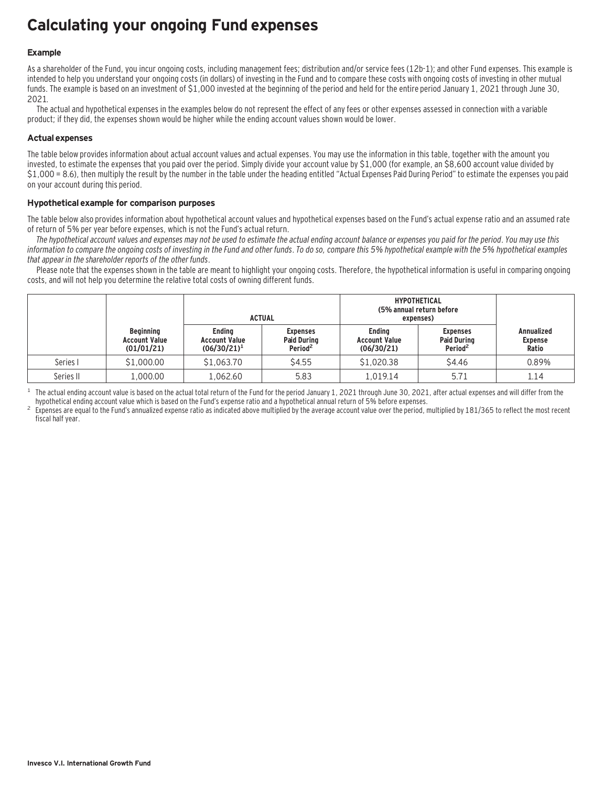## **Calculating your ongoing Fund expenses**

## **Example**

As a shareholder of the Fund, you incur ongoing costs, including management fees; distribution and/or service fees (12b-1); and other Fund expenses. This example is intended to help you understand your ongoing costs (in dollars) of investing in the Fund and to compare these costs with ongoing costs of investing in other mutual funds. The example is based on an investment of \$1,000 invested at the beginning of the period and held for the entire period January 1, 2021 through June 30, 2021.

The actual and hypothetical expenses in the examples below do not represent the effect of any fees or other expenses assessed in connection with a variable product; if they did, the expenses shown would be higher while the ending account values shown would be lower.

## **Actual expenses**

The table below provides information about actual account values and actual expenses. You may use the information in this table, together with the amount you invested, to estimate the expenses that you paid over the period. Simply divide your account value by \$1,000 (for example, an \$8,600 account value divided by \$1,000 = 8.6), then multiply the result by the number in the table under the heading entitled "Actual Expenses Paid During Period" to estimate the expenses you paid on your account during this period.

## **Hypothetical example for comparison purposes**

The table below also provides information about hypothetical account values and hypothetical expenses based on the Fund's actual expense ratio and an assumed rate of return of 5% per year before expenses, which is not the Fund's actual return.

The hypothetical account values and expenses may not be used to estimate the actual ending account balance or expenses you paid for the period. You may use this information to compare the ongoing costs of investing in the Fund and other funds. To do so, compare this 5% hypothetical example with the 5% hypothetical examples that appear in the shareholder reports of the other funds.

Please note that the expenses shown in the table are meant to highlight your ongoing costs. Therefore, the hypothetical information is useful in comparing ongoing costs, and will not help you determine the relative total costs of owning different funds.

|           |                                                        | <b>ACTUAL</b>                                           |                                                              | <b>HYPOTHETICAL</b><br>(5% annual return before<br>expenses) |                                                              |                                              |
|-----------|--------------------------------------------------------|---------------------------------------------------------|--------------------------------------------------------------|--------------------------------------------------------------|--------------------------------------------------------------|----------------------------------------------|
|           | <b>Beginning</b><br><b>Account Value</b><br>(01/01/21) | <b>Endina</b><br><b>Account Value</b><br>$(06/30/21)^1$ | <b>Expenses</b><br><b>Paid During</b><br>Period <sup>2</sup> | <b>Endina</b><br><b>Account Value</b><br>(06/30/21)          | <b>Expenses</b><br><b>Paid During</b><br>Period <sup>2</sup> | <b>Annualized</b><br><b>Expense</b><br>Ratio |
| Series I  | \$1,000.00                                             | \$1,063.70                                              | \$4.55                                                       | \$1,020.38                                                   | \$4.46                                                       | 0.89%                                        |
| Series II | 1,000.00                                               | 1.062.60                                                | 5.83                                                         | 1.019.14                                                     | 5.71                                                         | 1.14                                         |

<sup>1</sup> The actual ending account value is based on the actual total return of the Fund for the period January 1, 2021 through June 30, 2021, after actual expenses and will differ from the hund's expense ratio and a hypothetic

Expenses are equal to the Fund's annualized expense ratio as indicated above multiplied by the average account value over the period, multiplied by 181/365 to reflect the most recent fiscal half year.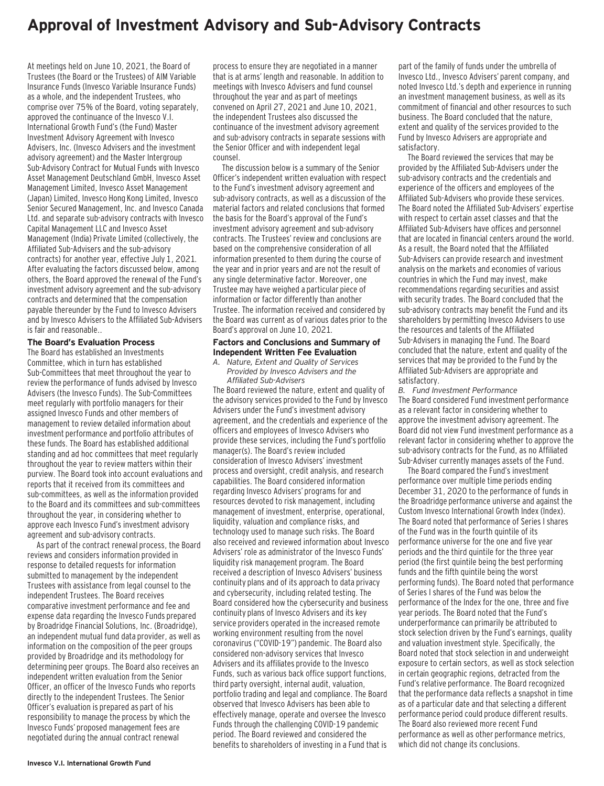## **Approval of Investment Advisory and Sub-Advisory Contracts**

At meetings held on June 10, 2021, the Board of Trustees (the Board or the Trustees) of AIM Variable Insurance Funds (Invesco Variable Insurance Funds) as a whole, and the independent Trustees, who comprise over 75% of the Board, voting separately, approved the continuance of the Invesco V.I. International Growth Fund's (the Fund) Master Investment Advisory Agreement with Invesco Advisers, Inc. (Invesco Advisers and the investment advisory agreement) and the Master Intergroup Sub-Advisory Contract for Mutual Funds with Invesco Asset Management Deutschland GmbH, Invesco Asset Management Limited, Invesco Asset Management (Japan) Limited, Invesco Hong Kong Limited, Invesco Senior Secured Management, Inc. and Invesco Canada Ltd. and separate sub-advisory contracts with Invesco Capital Management LLC and Invesco Asset Management (India) Private Limited (collectively, the Affiliated Sub-Advisers and the sub-advisory contracts) for another year, effective July 1, 2021. After evaluating the factors discussed below, among others, the Board approved the renewal of the Fund's investment advisory agreement and the sub-advisory contracts and determined that the compensation payable thereunder by the Fund to Invesco Advisers and by Invesco Advisers to the Affiliated Sub-Advisers is fair and reasonable..

## **The Board's Evaluation Process**

The Board has established an Investments Committee, which in turn has established Sub-Committees that meet throughout the year to review the performance of funds advised by Invesco Advisers (the Invesco Funds). The Sub-Committees meet regularly with portfolio managers for their assigned Invesco Funds and other members of management to review detailed information about investment performance and portfolio attributes of these funds. The Board has established additional standing and ad hoc committees that meet regularly throughout the year to review matters within their purview. The Board took into account evaluations and reports that it received from its committees and sub-committees, as well as the information provided to the Board and its committees and sub-committees throughout the year, in considering whether to approve each Invesco Fund's investment advisory agreement and sub-advisory contracts.

As part of the contract renewal process, the Board reviews and considers information provided in response to detailed requests for information submitted to management by the independent Trustees with assistance from legal counsel to the independent Trustees. The Board receives comparative investment performance and fee and expense data regarding the Invesco Funds prepared by Broadridge Financial Solutions, Inc. (Broadridge), an independent mutual fund data provider, as well as information on the composition of the peer groups provided by Broadridge and its methodology for determining peer groups. The Board also receives an independent written evaluation from the Senior Officer, an officer of the Invesco Funds who reports directly to the independent Trustees. The Senior Officer's evaluation is prepared as part of his responsibility to manage the process by which the Invesco Funds' proposed management fees are negotiated during the annual contract renewal

process to ensure they are negotiated in a manner that is at arms' length and reasonable. In addition to meetings with Invesco Advisers and fund counsel throughout the year and as part of meetings convened on April 27, 2021 and June 10, 2021, the independent Trustees also discussed the continuance of the investment advisory agreement and sub-advisory contracts in separate sessions with the Senior Officer and with independent legal counsel.

The discussion below is a summary of the Senior Officer's independent written evaluation with respect to the Fund's investment advisory agreement and sub-advisory contracts, as well as a discussion of the material factors and related conclusions that formed the basis for the Board's approval of the Fund's investment advisory agreement and sub-advisory contracts. The Trustees' review and conclusions are based on the comprehensive consideration of all information presented to them during the course of the year and in prior years and are not the result of any single determinative factor. Moreover, one Trustee may have weighed a particular piece of information or factor differently than another Trustee. The information received and considered by the Board was current as of various dates prior to the Board's approval on June 10, 2021.

### **Factors and Conclusions and Summary of Independent Written Fee Evaluation**

*A. Nature, Extent and Quality of Services Provided by Invesco Advisers and the Affiliated Sub-Advisers*

The Board reviewed the nature, extent and quality of the advisory services provided to the Fund by Invesco Advisers under the Fund's investment advisory agreement, and the credentials and experience of the officers and employees of Invesco Advisers who provide these services, including the Fund's portfolio manager(s). The Board's review included consideration of Invesco Advisers' investment process and oversight, credit analysis, and research capabilities. The Board considered information regarding Invesco Advisers' programs for and resources devoted to risk management, including management of investment, enterprise, operational, liquidity, valuation and compliance risks, and technology used to manage such risks. The Board also received and reviewed information about Invesco Advisers' role as administrator of the Invesco Funds' liquidity risk management program. The Board received a description of Invesco Advisers' business continuity plans and of its approach to data privacy and cybersecurity, including related testing. The Board considered how the cybersecurity and business continuity plans of Invesco Advisers and its key service providers operated in the increased remote working environment resulting from the novel coronavirus ("COVID-19") pandemic. The Board also considered non-advisory services that Invesco Advisers and its affiliates provide to the Invesco Funds, such as various back office support functions, third party oversight, internal audit, valuation, portfolio trading and legal and compliance. The Board observed that Invesco Advisers has been able to effectively manage, operate and oversee the Invesco Funds through the challenging COVID-19 pandemic period. The Board reviewed and considered the benefits to shareholders of investing in a Fund that is

part of the family of funds under the umbrella of Invesco Ltd., Invesco Advisers' parent company, and noted Invesco Ltd.'s depth and experience in running an investment management business, as well as its commitment of financial and other resources to such business. The Board concluded that the nature, extent and quality of the services provided to the Fund by Invesco Advisers are appropriate and satisfactory.

The Board reviewed the services that may be provided by the Affiliated Sub-Advisers under the sub-advisory contracts and the credentials and experience of the officers and employees of the Affiliated Sub-Advisers who provide these services. The Board noted the Affiliated Sub-Advisers' expertise with respect to certain asset classes and that the Affiliated Sub-Advisers have offices and personnel that are located in financial centers around the world. As a result, the Board noted that the Affiliated Sub-Advisers can provide research and investment analysis on the markets and economies of various countries in which the Fund may invest, make recommendations regarding securities and assist with security trades. The Board concluded that the sub-advisory contracts may benefit the Fund and its shareholders by permitting Invesco Advisers to use the resources and talents of the Affiliated Sub-Advisers in managing the Fund. The Board concluded that the nature, extent and quality of the services that may be provided to the Fund by the Affiliated Sub-Advisers are appropriate and satisfactory.

*B. Fund Investment Performance* The Board considered Fund investment performance as a relevant factor in considering whether to approve the investment advisory agreement. The Board did not view Fund investment performance as a relevant factor in considering whether to approve the sub-advisory contracts for the Fund, as no Affiliated Sub-Adviser currently manages assets of the Fund.

The Board compared the Fund's investment performance over multiple time periods ending December 31, 2020 to the performance of funds in the Broadridge performance universe and against the Custom Invesco International Growth Index (Index). The Board noted that performance of Series I shares of the Fund was in the fourth quintile of its performance universe for the one and five year periods and the third quintile for the three year period (the first quintile being the best performing funds and the fifth quintile being the worst performing funds). The Board noted that performance of Series I shares of the Fund was below the performance of the Index for the one, three and five year periods. The Board noted that the Fund's underperformance can primarily be attributed to stock selection driven by the Fund's earnings, quality and valuation investment style. Specifically, the Board noted that stock selection in and underweight exposure to certain sectors, as well as stock selection in certain geographic regions, detracted from the Fund's relative performance. The Board recognized that the performance data reflects a snapshot in time as of a particular date and that selecting a different performance period could produce different results. The Board also reviewed more recent Fund performance as well as other performance metrics, which did not change its conclusions.